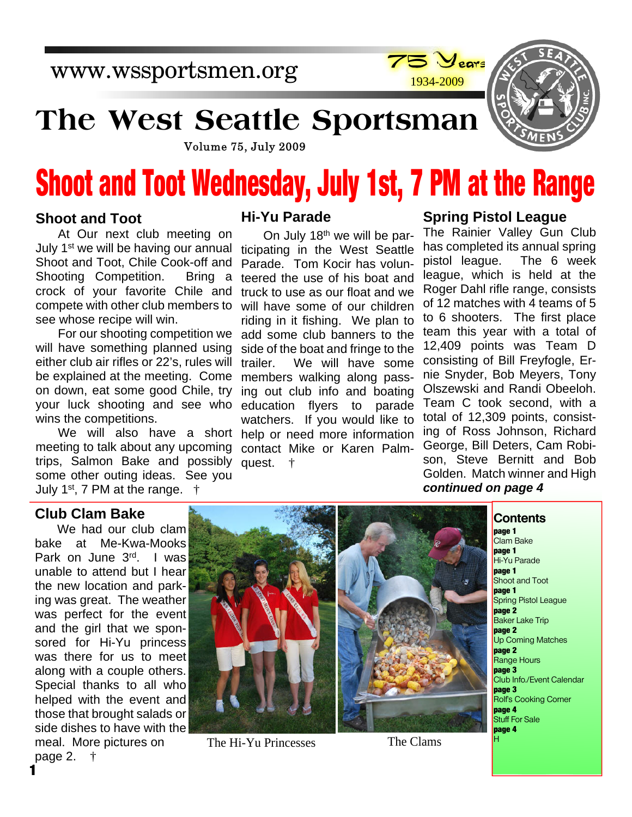

## **The West Seattle Sportsman**

Volume 75, July 2009

# **Shoot and Toot Wednesday, July 1st, 7 PM at the Range**

#### **Shoot and Toot**

July 1<sup>st</sup> we will be having our annual ticipating in the West Seattle At Our next club meeting on Shoot and Toot, Chile Cook-off and Shooting Competition. Bring a crock of your favorite Chile and compete with other club members to see whose recipe will win.

For our shooting competition we will have something planned using either club air rifles or 22's, rules will be explained at the meeting. Come on down, eat some good Chile, try your luck shooting and see who wins the competitions.

meeting to talk about any upcoming contact Mike or Karen Palmtrips, Salmon Bake and possibly quest.  $\dagger$ some other outing ideas. See you July 1<sup>st</sup>, 7 PM at the range.  $\dagger$ 

#### **Hi-Yu Parade**

On July 18<sup>th</sup> we will be par-Parade. Tom Kocir has volunteered the use of his boat and truck to use as our float and we will have some of our children riding in it fishing. We plan to add some club banners to the side of the boat and fringe to the trailer. We will have some members walking along passing out club info and boating education flyers to parade watchers. If you would like to We will also have a short help or need more information

#### **Spring Pistol League**

The Rainier Valley Gun Club has completed its annual spring pistol league. The 6 week league, which is held at the Roger Dahl rifle range, consists of 12 matches with 4 teams of 5 to 6 shooters. The first place team this year with a total of 12,409 points was Team D consisting of Bill Freyfogle, Ernie Snyder, Bob Meyers, Tony Olszewski and Randi Obeeloh. Team C took second, with a total of 12,309 points, consisting of Ross Johnson, Richard George, Bill Deters, Cam Robison, Steve Bernitt and Bob Golden. Match winner and High *continued on page 4*

#### **Club Clam Bake**

We had our club clam bake at Me-Kwa-Mooks Park on June 3rd. I was unable to attend but I hear the new location and parking was great. The weather was perfect for the event and the girl that we sponsored for Hi-Yu princess was there for us to meet along with a couple others. Special thanks to all who helped with the event and those that brought salads or side dishes to have with the meal. More pictures on page 2.



The Hi-Yu Princesses The Clams

**Contents page 1** Clam Bake **page 1** Hi-Yu Parade **page 1** Shoot and Toot **page 1** Spring Pistol League **page 2** Baker Lake Trip **page 2** Up Coming Matches **page 2** Range Hours **page 3** Club Info./Event Calendar **page 3** Rolf's Cooking Corner **page 4** Stuff For Sale **page 4** H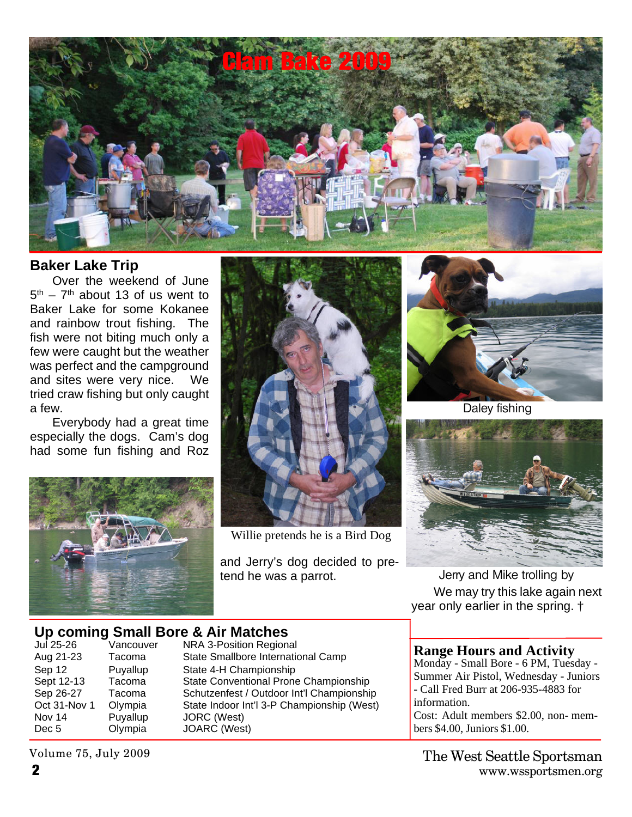

#### **Baker Lake Trip**

Over the weekend of June 5<sup>th</sup> – 7<sup>th</sup> about 13 of us went to Baker Lake for some Kokanee and rainbow trout fishing. The fish were not biting much only a few were caught but the weather was perfect and the campground and sites were very nice. We tried craw fishing but only caught a few.

Everybody had a great time especially the dogs. Cam's dog had some fun fishing and Roz





Willie pretends he is a Bird Dog

and Jerry's dog decided to pretend he was a parrot.



Daley fishing



We may try this lake again next year only earlier in the spring. † Jerry and Mike trolling by

**Range Hours and Activity** Monday - Small Bore - 6 PM, Tuesday -

#### **Up coming Small Bore & Air Matches**

| Jul 25-26    | Vancouver | NRA 3-Position Regional                    |
|--------------|-----------|--------------------------------------------|
| Aug 21-23    | Tacoma    | State Smallbore International Camp         |
| Sep 12       | Puyallup  | State 4-H Championship                     |
| Sept 12-13   | Tacoma    | State Conventional Prone Championship      |
| Sep 26-27    | Tacoma    | Schutzenfest / Outdoor Int'l Championship  |
| Oct 31-Nov 1 | Olympia   | State Indoor Int'l 3-P Championship (West) |
| Nov 14       | Puyallup  | JORC (West)                                |
| Dec 5        | Olympia   | JOARC (West)                               |

Volume 75, July 2009

Summer Air Pistol, Wednesday - Juniors - Call Fred Burr at 206-935-4883 for information. Cost: Adult members \$2.00, non- members \$4.00, Juniors \$1.00.

**2** www.wssportsmen.org The West Seattle Sportsman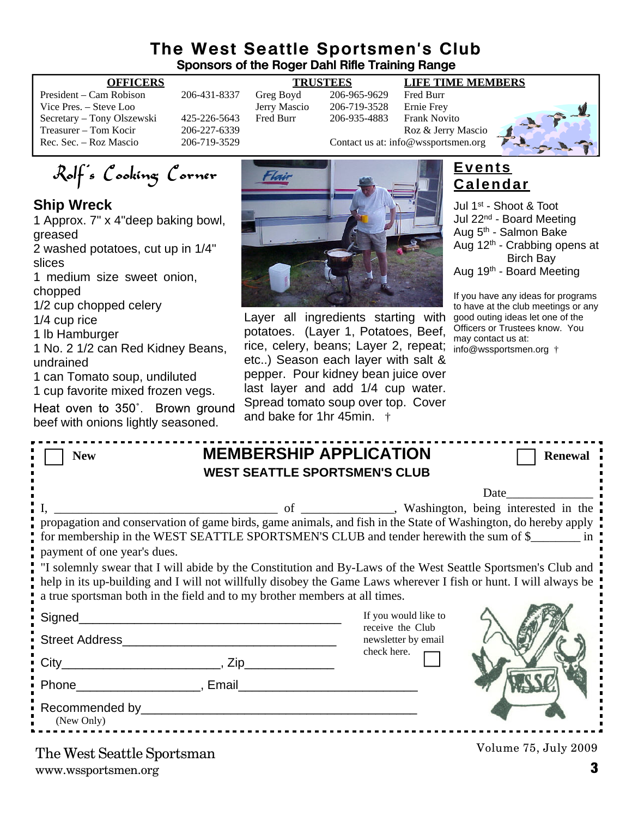#### **The West Seattle Sportsmen's Club Sponsors of the Roger Dahl Rifle Training Range**

| President – Cam Robison    |
|----------------------------|
| Vice Pres. – Steve Loo     |
| Secretary – Tony Olszewski |
| Treasurer – Tom Kocir      |
| Rec. Sec. - Roz Mascio     |

206-431-8337 Greg Boyd 206-965-9629 Fred Burr<br>Jerry Mascio 206-719-3528 Ernie Frev Victor 206-719-3528<br>Fred Burr 206-935-4883 425-226-5643 Fred Burr 206-935-4883 Frank Novito

#### **OFFICERS TRUSTEES LIFE TIME MEMBERS**

Treasurer – Tom Contact us at: info@wsportsmen.org<br>206-719-3529 Contact us at: info@wsportsmen.org Contact us at: info@wssportsmen.org

Rolf's Cooking Corner

#### **Ship Wreck**

1 Approx. 7" x 4"deep baking bowl, greased

2 washed potatoes, cut up in 1/4" slices

1 medium size sweet onion, chopped

1/2 cup chopped celery

1/4 cup rice

1 lb Hamburger

1 No. 2 1/2 can Red Kidney Beans, undrained

1 can Tomato soup, undiluted

1 cup favorite mixed frozen vegs.

Heat oven to 350°. Brown ground beef with onions lightly seasoned.



Layer all ingredients starting with potatoes. (Layer 1, Potatoes, Beef, rice, celery, beans; Layer 2, repeat; etc..) Season each layer with salt & pepper. Pour kidney bean juice over last layer and add 1/4 cup water. Spread tomato soup over top. Cover and bake for 1hr 45min. †

### **Events Calendar**

Jul 1st - Shoot & Toot Jul 22<sup>nd</sup> - Board Meeting Aug 5th - Salmon Bake Aug  $12<sup>th</sup>$  - Crabbing opens at Birch Bay Aug 19th - Board Meeting

If you have any ideas for programs to have at the club meetings or any good outing ideas let one of the Officers or Trustees know. You may contact us at: info@wssportsmen.org †

| <b>MEMBERSHIP APPLICATION</b><br><b>New</b>                                                                                                                                                                                                                                                                            | <b>Renewal</b>                          |  |  |  |
|------------------------------------------------------------------------------------------------------------------------------------------------------------------------------------------------------------------------------------------------------------------------------------------------------------------------|-----------------------------------------|--|--|--|
| <b>WEST SEATTLE SPORTSMEN'S CLUB</b>                                                                                                                                                                                                                                                                                   |                                         |  |  |  |
|                                                                                                                                                                                                                                                                                                                        | <b>Date</b> and <b>Date</b>             |  |  |  |
|                                                                                                                                                                                                                                                                                                                        |                                         |  |  |  |
| for membership in the WEST SEATTLE SPORTSMEN'S CLUB and tender herewith the sum of \$<br>payment of one year's dues.                                                                                                                                                                                                   |                                         |  |  |  |
| If your "I solemnly swear that I will abide by the Constitution and By-Laws of the West Seattle Sportsmen's Club and<br>help in its up-building and I will not willfully disobey the Game Laws wherever I fish or hunt. I will always be<br>a true sportsman both in the field and to my brother members at all times. |                                         |  |  |  |
| Signed__________                                                                                                                                                                                                                                                                                                       | If you would like to                    |  |  |  |
|                                                                                                                                                                                                                                                                                                                        | receive the Club<br>newsletter by email |  |  |  |
|                                                                                                                                                                                                                                                                                                                        | check here.                             |  |  |  |
| Phone Representation of the Representation of the Representation of the Representation of the Representation of the Representation of the Representation of the Representation of the Representation of the Representation of                                                                                          |                                         |  |  |  |
| (New Only)                                                                                                                                                                                                                                                                                                             |                                         |  |  |  |
| The West Seattle Sportsman                                                                                                                                                                                                                                                                                             | Volume 75, July 2009                    |  |  |  |

www.wssportsmen.org **3** The West Seattle Sportsman